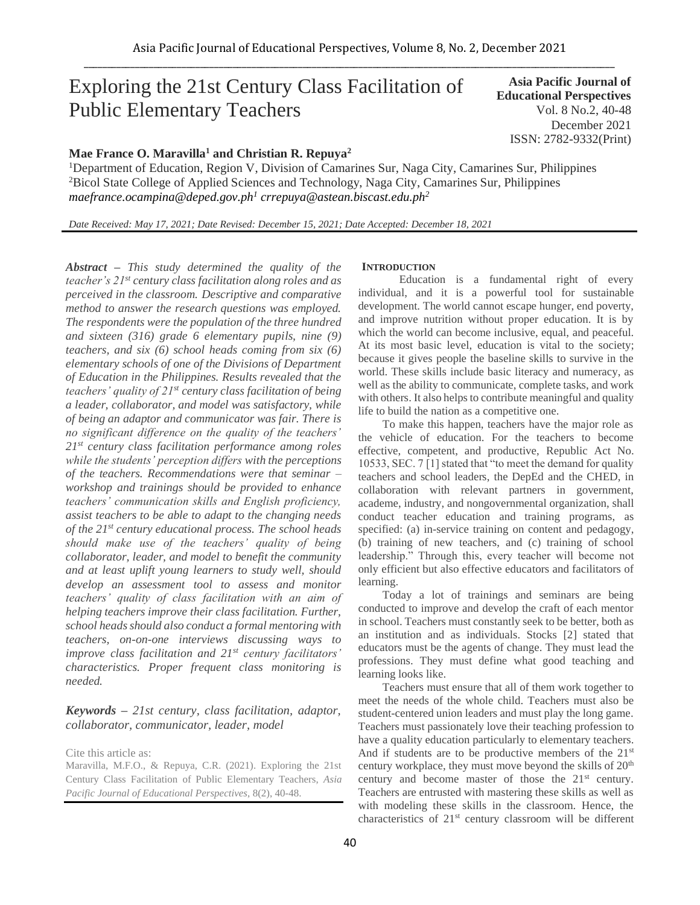# Exploring the 21st Century Class Facilitation of Public Elementary Teachers

# **Asia Pacific Journal of Educational Perspectives**  Vol. 8 No.2, 40-48 December 2021 ISSN: 2782-9332(Print)

# **Mae France O. Maravilla<sup>1</sup> and Christian R. Repuya<sup>2</sup>**

<sup>1</sup>Department of Education, Region V, Division of Camarines Sur, Naga City, Camarines Sur, Philippines <sup>2</sup>Bicol State College of Applied Sciences and Technology, Naga City, Camarines Sur, Philippines *maefrance.ocampina@deped.gov.ph<sup>1</sup> crrepuya@astean.biscast.edu.ph<sup>2</sup>*

*Date Received: May 17, 2021; Date Revised: December 15, 2021; Date Accepted: December 18, 2021*

*Abstract – This study determined the quality of the teacher's 21st century class facilitation along roles and as perceived in the classroom. Descriptive and comparative method to answer the research questions was employed. The respondents were the population of the three hundred and sixteen (316) grade 6 elementary pupils, nine (9) teachers, and six (6) school heads coming from six (6) elementary schools of one of the Divisions of Department of Education in the Philippines. Results revealed that the teachers' quality of 21st century class facilitation of being a leader, collaborator, and model was satisfactory, while of being an adaptor and communicator was fair. There is no significant difference on the quality of the teachers' 21st century class facilitation performance among roles while the students' perception differs with the perceptions of the teachers. Recommendations were that seminar – workshop and trainings should be provided to enhance teachers' communication skills and English proficiency, assist teachers to be able to adapt to the changing needs of the 21st century educational process. The school heads should make use of the teachers' quality of being collaborator, leader, and model to benefit the community and at least uplift young learners to study well, should develop an assessment tool to assess and monitor teachers' quality of class facilitation with an aim of helping teachers improve their class facilitation. Further, school heads should also conduct a formal mentoring with teachers, on-on-one interviews discussing ways to improve class facilitation and 21st century facilitators' characteristics. Proper frequent class monitoring is needed.*

# *Keywords – 21st century, class facilitation, adaptor, collaborator, communicator, leader, model*

Cite this article as:

Maravilla, M.F.O., & Repuya, C.R. (2021). Exploring the 21st Century Class Facilitation of Public Elementary Teachers, *Asia Pacific Journal of Educational Perspectives*, 8(2), 40-48.

### **INTRODUCTION**

Education is a fundamental right of every individual, and it is a powerful tool for sustainable development. The world cannot escape hunger, end poverty, and improve nutrition without proper education. It is by which the world can become inclusive, equal, and peaceful. At its most basic level, education is vital to the society; because it gives people the baseline skills to survive in the world. These skills include basic literacy and numeracy, as well as the ability to communicate, complete tasks, and work with others. It also helps to contribute meaningful and quality life to build the nation as a competitive one.

To make this happen, teachers have the major role as the vehicle of education. For the teachers to become effective, competent, and productive, Republic Act No. 10533, SEC. 7 [1] stated that "to meet the demand for quality teachers and school leaders, the DepEd and the CHED, in collaboration with relevant partners in government, academe, industry, and nongovernmental organization, shall conduct teacher education and training programs, as specified: (a) in-service training on content and pedagogy, (b) training of new teachers, and (c) training of school leadership." Through this, every teacher will become not only efficient but also effective educators and facilitators of learning.

Today a lot of trainings and seminars are being conducted to improve and develop the craft of each mentor in school. Teachers must constantly seek to be better, both as an institution and as individuals. Stocks [2] stated that educators must be the agents of change. They must lead the professions. They must define what good teaching and learning looks like.

Teachers must ensure that all of them work together to meet the needs of the whole child. Teachers must also be student-centered union leaders and must play the long game. Teachers must passionately love their teaching profession to have a quality education particularly to elementary teachers. And if students are to be productive members of the 21<sup>st</sup> century workplace, they must move beyond the skills of 20<sup>th</sup> century and become master of those the 21<sup>st</sup> century. Teachers are entrusted with mastering these skills as well as with modeling these skills in the classroom. Hence, the characteristics of 21st century classroom will be different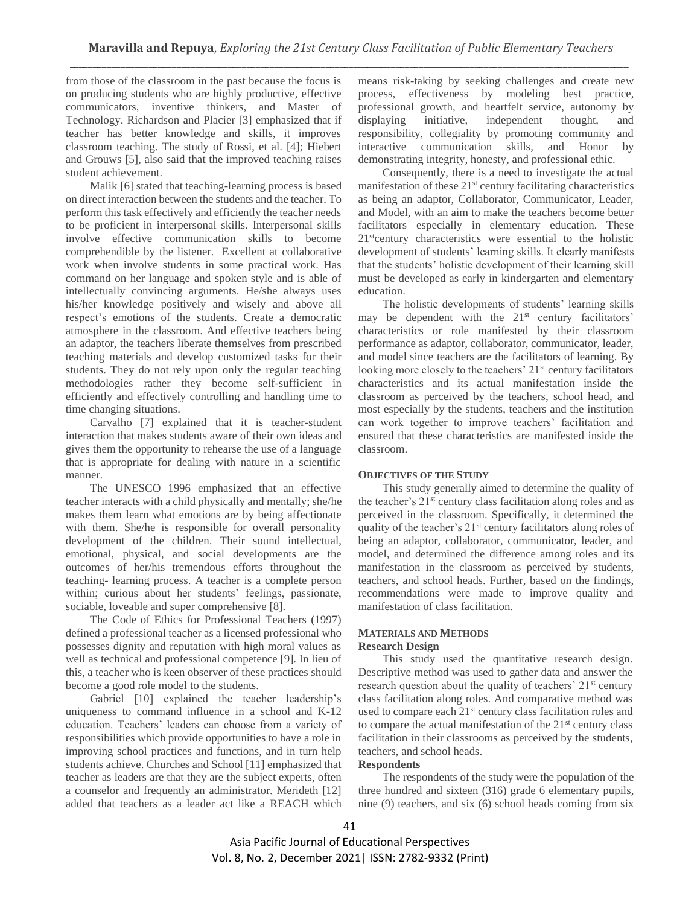from those of the classroom in the past because the focus is on producing students who are highly productive, effective communicators, inventive thinkers, and Master of Technology. Richardson and Placier [3] emphasized that if teacher has better knowledge and skills, it improves classroom teaching. The study of Rossi, et al. [4]; Hiebert and Grouws [5], also said that the improved teaching raises student achievement.

Malik [6] stated that teaching-learning process is based on direct interaction between the students and the teacher. To perform this task effectively and efficiently the teacher needs to be proficient in interpersonal skills. Interpersonal skills involve effective communication skills to become comprehendible by the listener. Excellent at collaborative work when involve students in some practical work. Has command on her language and spoken style and is able of intellectually convincing arguments. He/she always uses his/her knowledge positively and wisely and above all respect's emotions of the students. Create a democratic atmosphere in the classroom. And effective teachers being an adaptor, the teachers liberate themselves from prescribed teaching materials and develop customized tasks for their students. They do not rely upon only the regular teaching methodologies rather they become self-sufficient in efficiently and effectively controlling and handling time to time changing situations.

Carvalho [7] explained that it is teacher-student interaction that makes students aware of their own ideas and gives them the opportunity to rehearse the use of a language that is appropriate for dealing with nature in a scientific manner.

The UNESCO 1996 emphasized that an effective teacher interacts with a child physically and mentally; she/he makes them learn what emotions are by being affectionate with them. She/he is responsible for overall personality development of the children. Their sound intellectual, emotional, physical, and social developments are the outcomes of her/his tremendous efforts throughout the teaching- learning process. A teacher is a complete person within; curious about her students' feelings, passionate, sociable, loveable and super comprehensive [8].

The Code of Ethics for Professional Teachers (1997) defined a professional teacher as a licensed professional who possesses dignity and reputation with high moral values as well as technical and professional competence [9]. In lieu of this, a teacher who is keen observer of these practices should become a good role model to the students.

Gabriel [10] explained the teacher leadership's uniqueness to command influence in a school and K-12 education. Teachers' leaders can choose from a variety of responsibilities which provide opportunities to have a role in improving school practices and functions, and in turn help students achieve. Churches and School [11] emphasized that teacher as leaders are that they are the subject experts, often a counselor and frequently an administrator. Merideth [12] added that teachers as a leader act like a REACH which

means risk-taking by seeking challenges and create new process, effectiveness by modeling best practice, professional growth, and heartfelt service, autonomy by displaying initiative, independent thought, and responsibility, collegiality by promoting community and interactive communication skills, and Honor by demonstrating integrity, honesty, and professional ethic.

Consequently, there is a need to investigate the actual manifestation of these  $21<sup>st</sup>$  century facilitating characteristics as being an adaptor, Collaborator, Communicator, Leader, and Model, with an aim to make the teachers become better facilitators especially in elementary education. These 21<sup>st</sup>century characteristics were essential to the holistic development of students' learning skills. It clearly manifests that the students' holistic development of their learning skill must be developed as early in kindergarten and elementary education.

The holistic developments of students' learning skills may be dependent with the  $21<sup>st</sup>$  century facilitators' characteristics or role manifested by their classroom performance as adaptor, collaborator, communicator, leader, and model since teachers are the facilitators of learning. By looking more closely to the teachers' 21<sup>st</sup> century facilitators characteristics and its actual manifestation inside the classroom as perceived by the teachers, school head, and most especially by the students, teachers and the institution can work together to improve teachers' facilitation and ensured that these characteristics are manifested inside the classroom.

#### **OBJECTIVES OF THE STUDY**

This study generally aimed to determine the quality of the teacher's 21st century class facilitation along roles and as perceived in the classroom. Specifically, it determined the quality of the teacher's 21<sup>st</sup> century facilitators along roles of being an adaptor, collaborator, communicator, leader, and model, and determined the difference among roles and its manifestation in the classroom as perceived by students, teachers, and school heads. Further, based on the findings, recommendations were made to improve quality and manifestation of class facilitation.

## **MATERIALS AND METHODS Research Design**

This study used the quantitative research design. Descriptive method was used to gather data and answer the research question about the quality of teachers'  $21<sup>st</sup>$  century class facilitation along roles. And comparative method was used to compare each 21<sup>st</sup> century class facilitation roles and to compare the actual manifestation of the 21<sup>st</sup> century class facilitation in their classrooms as perceived by the students, teachers, and school heads.

## **Respondents**

The respondents of the study were the population of the three hundred and sixteen (316) grade 6 elementary pupils, nine (9) teachers, and six (6) school heads coming from six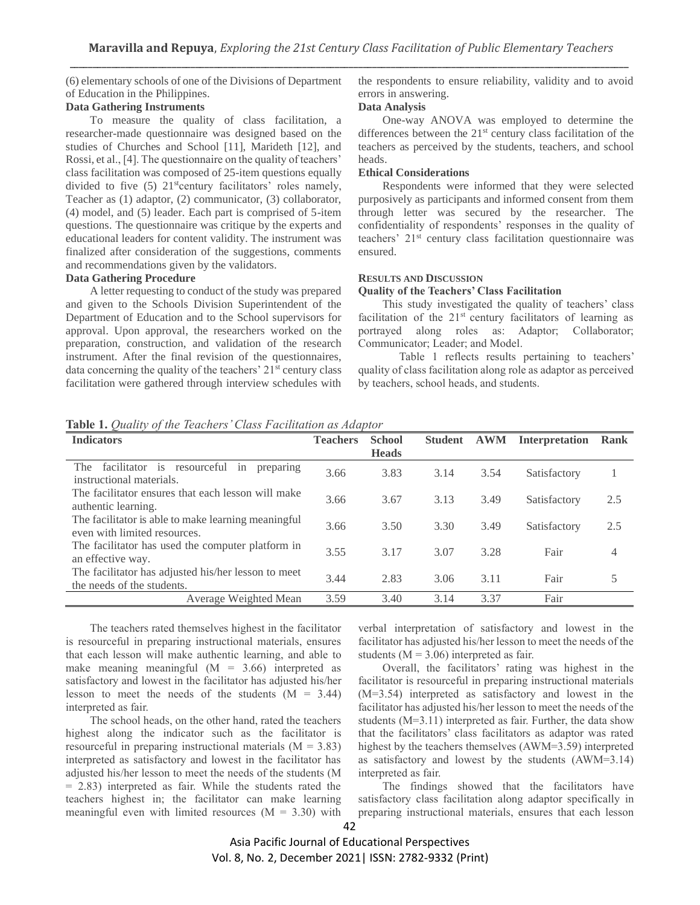(6) elementary schools of one of the Divisions of Department of Education in the Philippines.

## **Data Gathering Instruments**

To measure the quality of class facilitation, a researcher-made questionnaire was designed based on the studies of Churches and School [11], Marideth [12], and Rossi, et al., [4]. The questionnaire on the quality of teachers' class facilitation was composed of 25-item questions equally divided to five  $(5)$  21<sup>st</sup>century facilitators' roles namely, Teacher as (1) adaptor, (2) communicator, (3) collaborator, (4) model, and (5) leader. Each part is comprised of 5-item questions. The questionnaire was critique by the experts and educational leaders for content validity. The instrument was finalized after consideration of the suggestions, comments and recommendations given by the validators.

## **Data Gathering Procedure**

A letter requesting to conduct of the study was prepared and given to the Schools Division Superintendent of the Department of Education and to the School supervisors for approval. Upon approval, the researchers worked on the preparation, construction, and validation of the research instrument. After the final revision of the questionnaires, data concerning the quality of the teachers' 21<sup>st</sup> century class facilitation were gathered through interview schedules with the respondents to ensure reliability, validity and to avoid errors in answering.

# **Data Analysis**

One-way ANOVA was employed to determine the differences between the 21<sup>st</sup> century class facilitation of the teachers as perceived by the students, teachers, and school heads.

#### **Ethical Considerations**

Respondents were informed that they were selected purposively as participants and informed consent from them through letter was secured by the researcher. The confidentiality of respondents' responses in the quality of teachers' 21st century class facilitation questionnaire was ensured.

## **RESULTS AND DISCUSSION**

## **Quality of the Teachers' Class Facilitation**

This study investigated the quality of teachers' class facilitation of the  $21<sup>st</sup>$  century facilitators of learning as portrayed along roles as: Adaptor; Collaborator; Communicator; Leader; and Model.

Table 1 reflects results pertaining to teachers' quality of class facilitation along role as adaptor as perceived by teachers, school heads, and students.

**Table 1.** *Quality of the Teachers' Class Facilitation as Adaptor*

| <b>Indicators</b>                                                                   | <b>Teachers</b> | <b>School</b><br><b>Heads</b> | <b>Student</b> | <b>AWM</b> | <b>Interpretation</b> | Rank |
|-------------------------------------------------------------------------------------|-----------------|-------------------------------|----------------|------------|-----------------------|------|
| facilitator is<br>resourceful in<br>The<br>preparing<br>instructional materials.    | 3.66            | 3.83                          | 3.14           | 3.54       | Satisfactory          |      |
| The facilitator ensures that each lesson will make<br>authentic learning.           | 3.66            | 3.67                          | 3.13           | 3.49       | Satisfactory          | 2.5  |
| The facilitator is able to make learning meaningful<br>even with limited resources. | 3.66            | 3.50                          | 3.30           | 3.49       | Satisfactory          | 2.5  |
| The facilitator has used the computer platform in<br>an effective way.              | 3.55            | 3.17                          | 3.07           | 3.28       | Fair                  | 4    |
| The facilitator has adjusted his/her lesson to meet<br>the needs of the students.   | 3.44            | 2.83                          | 3.06           | 3.11       | Fair                  |      |
| Average Weighted Mean                                                               | 3.59            | 3.40                          | 3.14           | 3.37       | Fair                  |      |

The teachers rated themselves highest in the facilitator is resourceful in preparing instructional materials, ensures that each lesson will make authentic learning, and able to make meaning meaningful  $(M = 3.66)$  interpreted as satisfactory and lowest in the facilitator has adjusted his/her lesson to meet the needs of the students  $(M = 3.44)$ interpreted as fair.

The school heads, on the other hand, rated the teachers highest along the indicator such as the facilitator is resourceful in preparing instructional materials  $(M = 3.83)$ interpreted as satisfactory and lowest in the facilitator has adjusted his/her lesson to meet the needs of the students (M = 2.83) interpreted as fair. While the students rated the teachers highest in; the facilitator can make learning meaningful even with limited resources  $(M = 3.30)$  with verbal interpretation of satisfactory and lowest in the facilitator has adjusted his/her lesson to meet the needs of the students ( $M = 3.06$ ) interpreted as fair.

Overall, the facilitators' rating was highest in the facilitator is resourceful in preparing instructional materials (M=3.54) interpreted as satisfactory and lowest in the facilitator has adjusted his/her lesson to meet the needs of the students (M=3.11) interpreted as fair. Further, the data show that the facilitators' class facilitators as adaptor was rated highest by the teachers themselves (AWM=3.59) interpreted as satisfactory and lowest by the students (AWM=3.14) interpreted as fair.

The findings showed that the facilitators have satisfactory class facilitation along adaptor specifically in preparing instructional materials, ensures that each lesson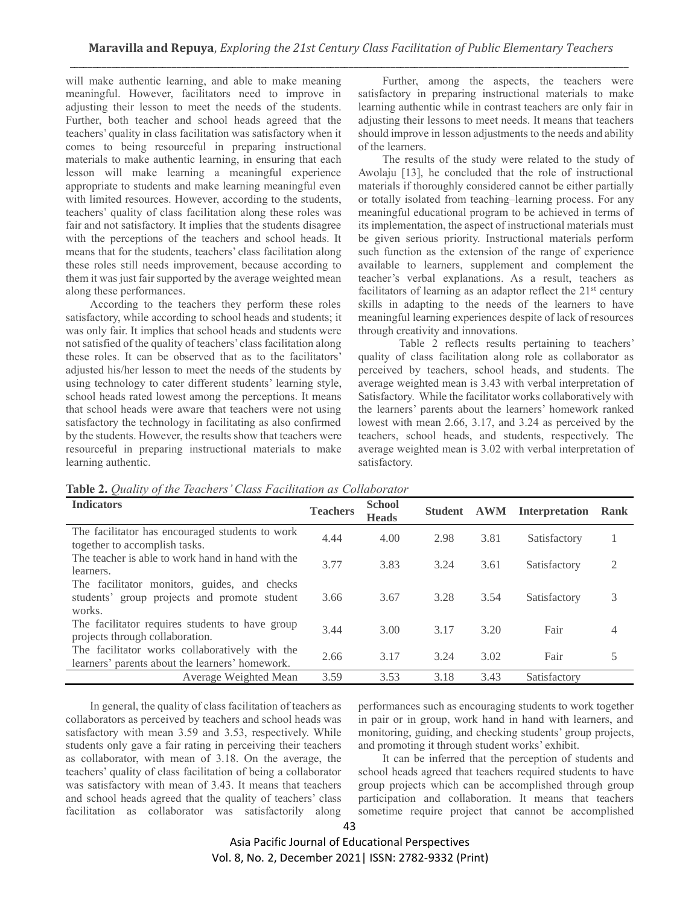will make authentic learning, and able to make meaning meaningful. However, facilitators need to improve in adjusting their lesson to meet the needs of the students. Further, both teacher and school heads agreed that the teachers' quality in class facilitation was satisfactory when it comes to being resourceful in preparing instructional materials to make authentic learning, in ensuring that each lesson will make learning a meaningful experience appropriate to students and make learning meaningful even with limited resources. However, according to the students, teachers' quality of class facilitation along these roles was fair and not satisfactory. It implies that the students disagree with the perceptions of the teachers and school heads. It means that for the students, teachers' class facilitation along these roles still needs improvement, because according to them it was just fair supported by the average weighted mean along these performances.

According to the teachers they perform these roles satisfactory, while according to school heads and students; it was only fair. It implies that school heads and students were not satisfied of the quality of teachers' class facilitation along these roles. It can be observed that as to the facilitators' adjusted his/her lesson to meet the needs of the students by using technology to cater different students' learning style, school heads rated lowest among the perceptions. It means that school heads were aware that teachers were not using satisfactory the technology in facilitating as also confirmed by the students. However, the results show that teachers were resourceful in preparing instructional materials to make learning authentic.

Further, among the aspects, the teachers were satisfactory in preparing instructional materials to make learning authentic while in contrast teachers are only fair in adjusting their lessons to meet needs. It means that teachers should improve in lesson adjustments to the needs and ability of the learners.

The results of the study were related to the study of Awolaju [13], he concluded that the role of instructional materials if thoroughly considered cannot be either partially or totally isolated from teaching–learning process. For any meaningful educational program to be achieved in terms of its implementation, the aspect of instructional materials must be given serious priority. Instructional materials perform such function as the extension of the range of experience available to learners, supplement and complement the teacher's verbal explanations. As a result, teachers as facilitators of learning as an adaptor reflect the  $21<sup>st</sup>$  century skills in adapting to the needs of the learners to have meaningful learning experiences despite of lack of resources through creativity and innovations.

Table 2 reflects results pertaining to teachers' quality of class facilitation along role as collaborator as perceived by teachers, school heads, and students. The average weighted mean is 3.43 with verbal interpretation of Satisfactory. While the facilitator works collaboratively with the learners' parents about the learners' homework ranked lowest with mean 2.66, 3.17, and 3.24 as perceived by the teachers, school heads, and students, respectively. The average weighted mean is 3.02 with verbal interpretation of satisfactory.

| <b>Indicators</b>                                                                                      | <b>Teachers</b> | <b>School</b><br><b>Heads</b> | <b>Student</b> | <b>AWM</b> | Interpretation | Rank |
|--------------------------------------------------------------------------------------------------------|-----------------|-------------------------------|----------------|------------|----------------|------|
| The facilitator has encouraged students to work<br>together to accomplish tasks.                       | 4.44            | 4.00                          | 2.98           | 3.81       | Satisfactory   |      |
| The teacher is able to work hand in hand with the<br>learners.                                         | 3.77            | 3.83                          | 3.24           | 3.61       | Satisfactory   | 2    |
| The facilitator monitors, guides, and checks<br>students' group projects and promote student<br>works. | 3.66            | 3.67                          | 3.28           | 3.54       | Satisfactory   | 3    |
| The facilitator requires students to have group<br>projects through collaboration.                     | 3.44            | 3.00                          | 3.17           | 3.20       | Fair           |      |
| The facilitator works collaboratively with the<br>learners' parents about the learners' homework.      | 2.66            | 3.17                          | 3.24           | 3.02       | Fair           |      |
| Average Weighted Mean                                                                                  | 3.59            | 3.53                          | 3.18           | 3.43       | Satisfactory   |      |

**Table 2.** *Quality of the Teachers' Class Facilitation as Collaborator*

In general, the quality of class facilitation of teachers as collaborators as perceived by teachers and school heads was satisfactory with mean 3.59 and 3.53, respectively. While students only gave a fair rating in perceiving their teachers as collaborator, with mean of 3.18. On the average, the teachers' quality of class facilitation of being a collaborator was satisfactory with mean of 3.43. It means that teachers and school heads agreed that the quality of teachers' class facilitation as collaborator was satisfactorily along performances such as encouraging students to work together in pair or in group, work hand in hand with learners, and monitoring, guiding, and checking students' group projects, and promoting it through student works' exhibit.

It can be inferred that the perception of students and school heads agreed that teachers required students to have group projects which can be accomplished through group participation and collaboration. It means that teachers sometime require project that cannot be accomplished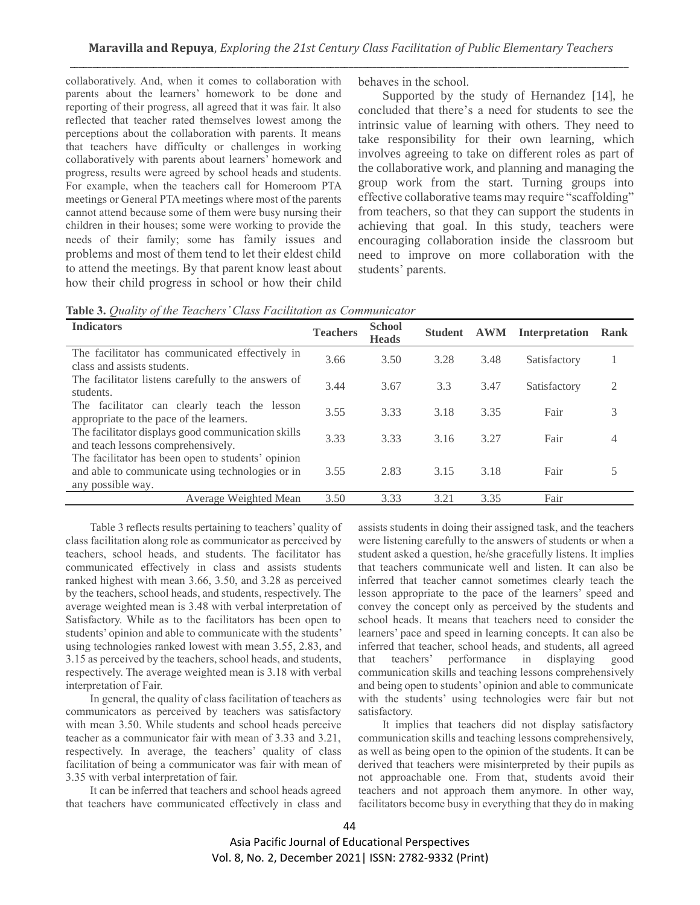collaboratively. And, when it comes to collaboration with parents about the learners' homework to be done and reporting of their progress, all agreed that it was fair. It also reflected that teacher rated themselves lowest among the perceptions about the collaboration with parents. It means that teachers have difficulty or challenges in working collaboratively with parents about learners' homework and progress, results were agreed by school heads and students. For example, when the teachers call for Homeroom PTA meetings or General PTA meetings where most of the parents cannot attend because some of them were busy nursing their children in their houses; some were working to provide the needs of their family; some has family issues and problems and most of them tend to let their eldest child to attend the meetings. By that parent know least about how their child progress in school or how their child behaves in the school.

Supported by the study of Hernandez [14], he concluded that there's a need for students to see the intrinsic value of learning with others. They need to take responsibility for their own learning, which involves agreeing to take on different roles as part of the collaborative work, and planning and managing the group work from the start. Turning groups into effective collaborative teams may require "scaffolding" from teachers, so that they can support the students in achieving that goal. In this study, teachers were encouraging collaboration inside the classroom but need to improve on more collaboration with the students' parents.

|  |  |  |  |  | Table 3. Quality of the Teachers' Class Facilitation as Communicator |  |  |
|--|--|--|--|--|----------------------------------------------------------------------|--|--|
|--|--|--|--|--|----------------------------------------------------------------------|--|--|

| <b>Indicators</b>                                                                                                           | <b>Teachers</b> | <b>School</b><br><b>Heads</b> | <b>Student</b> | <b>AWM</b> | <b>Interpretation</b> | Rank           |
|-----------------------------------------------------------------------------------------------------------------------------|-----------------|-------------------------------|----------------|------------|-----------------------|----------------|
| The facilitator has communicated effectively in<br>class and assists students.                                              | 3.66            | 3.50                          | 3.28           | 3.48       | Satisfactory          |                |
| The facilitator listens carefully to the answers of<br>students.                                                            | 3.44            | 3.67                          | 3.3            | 3.47       | Satisfactory          | $\overline{c}$ |
| The facilitator can clearly teach the lesson<br>appropriate to the pace of the learners.                                    | 3.55            | 3.33                          | 3.18           | 3.35       | Fair                  | 3              |
| The facilitator displays good communication skills<br>and teach lessons comprehensively.                                    | 3.33            | 3.33                          | 3.16           | 3.27       | Fair                  | 4              |
| The facilitator has been open to students' opinion<br>and able to communicate using technologies or in<br>any possible way. | 3.55            | 2.83                          | 3.15           | 3.18       | Fair                  | 5              |
| Average Weighted Mean                                                                                                       | 3.50            | 3.33                          | 3.21           | 3.35       | Fair                  |                |

Table 3 reflects results pertaining to teachers' quality of class facilitation along role as communicator as perceived by teachers, school heads, and students. The facilitator has communicated effectively in class and assists students ranked highest with mean 3.66, 3.50, and 3.28 as perceived by the teachers, school heads, and students, respectively. The average weighted mean is 3.48 with verbal interpretation of Satisfactory. While as to the facilitators has been open to students' opinion and able to communicate with the students' using technologies ranked lowest with mean 3.55, 2.83, and 3.15 as perceived by the teachers, school heads, and students, respectively. The average weighted mean is 3.18 with verbal interpretation of Fair.

In general, the quality of class facilitation of teachers as communicators as perceived by teachers was satisfactory with mean 3.50. While students and school heads perceive teacher as a communicator fair with mean of 3.33 and 3.21, respectively. In average, the teachers' quality of class facilitation of being a communicator was fair with mean of 3.35 with verbal interpretation of fair.

It can be inferred that teachers and school heads agreed that teachers have communicated effectively in class and

assists students in doing their assigned task, and the teachers were listening carefully to the answers of students or when a student asked a question, he/she gracefully listens. It implies that teachers communicate well and listen. It can also be inferred that teacher cannot sometimes clearly teach the lesson appropriate to the pace of the learners' speed and convey the concept only as perceived by the students and school heads. It means that teachers need to consider the learners' pace and speed in learning concepts. It can also be inferred that teacher, school heads, and students, all agreed that teachers' performance in displaying good communication skills and teaching lessons comprehensively and being open to students' opinion and able to communicate with the students' using technologies were fair but not satisfactory.

It implies that teachers did not display satisfactory communication skills and teaching lessons comprehensively, as well as being open to the opinion of the students. It can be derived that teachers were misinterpreted by their pupils as not approachable one. From that, students avoid their teachers and not approach them anymore. In other way, facilitators become busy in everything that they do in making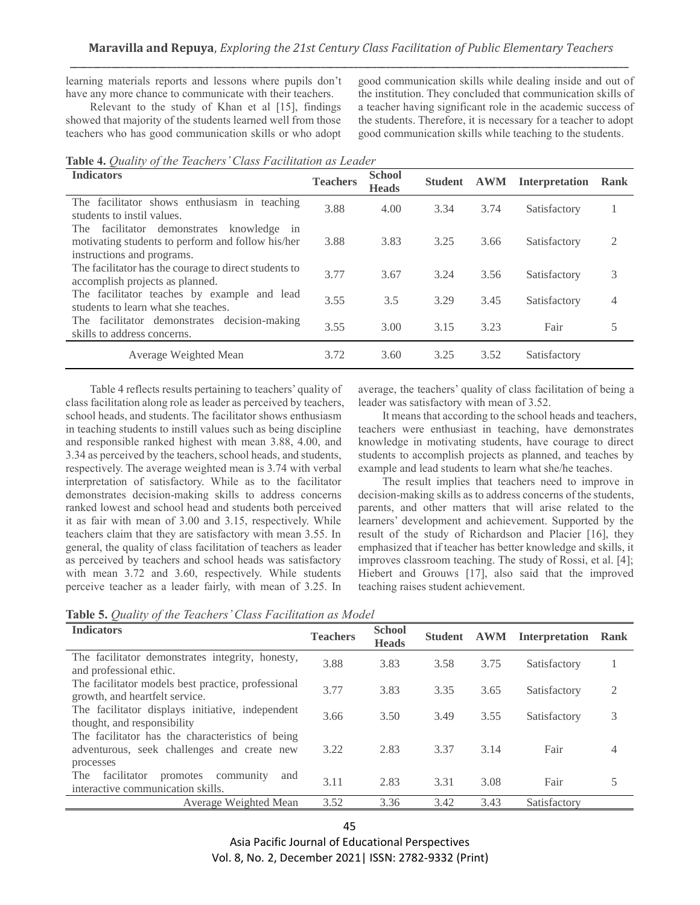learning materials reports and lessons where pupils don't have any more chance to communicate with their teachers.

Relevant to the study of Khan et al [15], findings showed that majority of the students learned well from those teachers who has good communication skills or who adopt good communication skills while dealing inside and out of the institution. They concluded that communication skills of a teacher having significant role in the academic success of the students. Therefore, it is necessary for a teacher to adopt good communication skills while teaching to the students.

|  |  |  |  |  |  | Table 4. Quality of the Teachers' Class Facilitation as Leader |  |
|--|--|--|--|--|--|----------------------------------------------------------------|--|
|--|--|--|--|--|--|----------------------------------------------------------------|--|

| <b>Indicators</b>                                                                                                               | <b>Teachers</b> | <b>School</b><br><b>Heads</b> | <b>Student</b> | <b>AWM</b> | <b>Interpretation</b> | Rank |
|---------------------------------------------------------------------------------------------------------------------------------|-----------------|-------------------------------|----------------|------------|-----------------------|------|
| The facilitator shows enthusiasm in teaching<br>students to instil values.                                                      | 3.88            | 4.00                          | 3.34           | 3.74       | Satisfactory          |      |
| The facilitator demonstrates<br>knowledge in<br>motivating students to perform and follow his/her<br>instructions and programs. | 3.88            | 3.83                          | 3.25           | 3.66       | Satisfactory          | 2    |
| The facilitator has the courage to direct students to<br>accomplish projects as planned.                                        | 3.77            | 3.67                          | 3.24           | 3.56       | Satisfactory          | 3    |
| The facilitator teaches by example and lead<br>students to learn what she teaches.                                              | 3.55            | 3.5                           | 3.29           | 3.45       | Satisfactory          | 4    |
| The facilitator demonstrates decision-making<br>skills to address concerns.                                                     | 3.55            | 3.00                          | 3.15           | 3.23       | Fair                  | 5    |
| Average Weighted Mean                                                                                                           | 3.72            | 3.60                          | 3.25           | 3.52       | Satisfactory          |      |

Table 4 reflects results pertaining to teachers' quality of class facilitation along role as leader as perceived by teachers, school heads, and students. The facilitator shows enthusiasm in teaching students to instill values such as being discipline and responsible ranked highest with mean 3.88, 4.00, and 3.34 as perceived by the teachers, school heads, and students, respectively. The average weighted mean is 3.74 with verbal interpretation of satisfactory. While as to the facilitator demonstrates decision-making skills to address concerns ranked lowest and school head and students both perceived it as fair with mean of 3.00 and 3.15, respectively. While teachers claim that they are satisfactory with mean 3.55. In general, the quality of class facilitation of teachers as leader as perceived by teachers and school heads was satisfactory with mean 3.72 and 3.60, respectively. While students perceive teacher as a leader fairly, with mean of 3.25. In

average, the teachers' quality of class facilitation of being a leader was satisfactory with mean of 3.52.

It means that according to the school heads and teachers, teachers were enthusiast in teaching, have demonstrates knowledge in motivating students, have courage to direct students to accomplish projects as planned, and teaches by example and lead students to learn what she/he teaches.

The result implies that teachers need to improve in decision-making skills as to address concerns of the students, parents, and other matters that will arise related to the learners' development and achievement. Supported by the result of the study of Richardson and Placier [16], they emphasized that if teacher has better knowledge and skills, it improves classroom teaching. The study of Rossi, et al. [4]; Hiebert and Grouws [17], also said that the improved teaching raises student achievement.

|  |  | Table 5. Quality of the Teachers' Class Facilitation as Model |  |
|--|--|---------------------------------------------------------------|--|
|  |  |                                                               |  |

| <b>Indicators</b>                                                                                        | <b>Teachers</b> | <b>School</b><br><b>Heads</b> | <b>Student</b> | <b>AWM</b> | <b>Interpretation</b> | Rank |
|----------------------------------------------------------------------------------------------------------|-----------------|-------------------------------|----------------|------------|-----------------------|------|
| The facilitator demonstrates integrity, honesty,<br>and professional ethic.                              | 3.88            | 3.83                          | 3.58           | 3.75       | Satisfactory          |      |
| The facilitator models best practice, professional<br>growth, and heartfelt service.                     | 3.77            | 3.83                          | 3.35           | 3.65       | Satisfactory          | 2    |
| The facilitator displays initiative, independent<br>thought, and responsibility                          | 3.66            | 3.50                          | 3.49           | 3.55       | Satisfactory          | 3    |
| The facilitator has the characteristics of being<br>adventurous, seek challenges and create new          | 3.22            | 2.83                          | 3.37           | 3.14       | Fair                  | 4    |
| processes<br>facilitator<br>promotes community<br><b>The</b><br>and<br>interactive communication skills. | 3.11            | 2.83                          | 3.31           | 3.08       | Fair                  | 5    |
| Average Weighted Mean                                                                                    | 3.52            | 3.36                          | 3.42           | 3.43       | Satisfactory          |      |

Asia Pacific Journal of Educational Perspectives Vol. 8, No. 2, December 2021| ISSN: 2782-9332 (Print)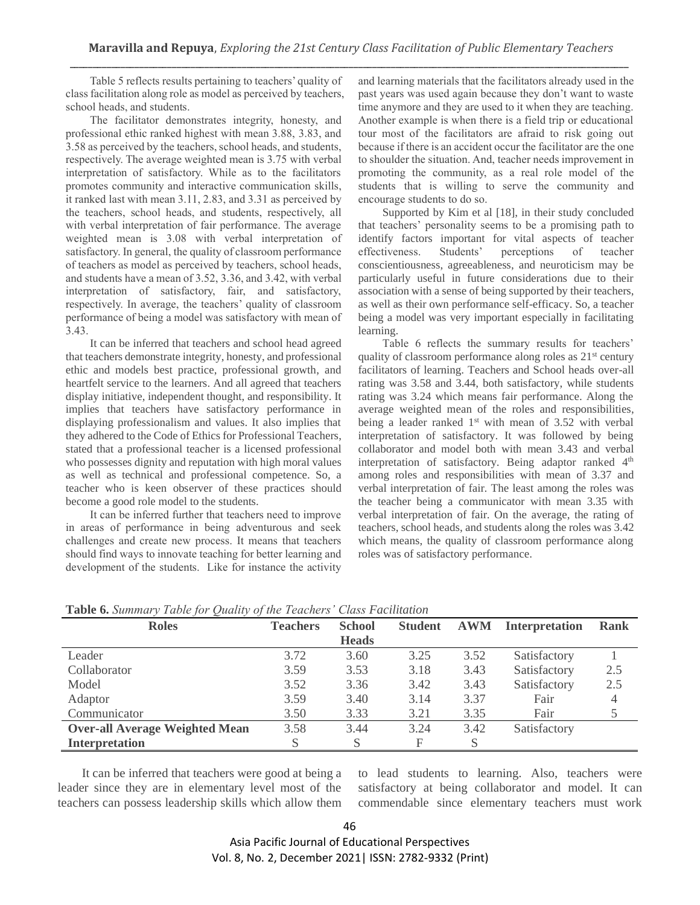Table 5 reflects results pertaining to teachers' quality of class facilitation along role as model as perceived by teachers, school heads, and students.

The facilitator demonstrates integrity, honesty, and professional ethic ranked highest with mean 3.88, 3.83, and 3.58 as perceived by the teachers, school heads, and students, respectively. The average weighted mean is 3.75 with verbal interpretation of satisfactory. While as to the facilitators promotes community and interactive communication skills, it ranked last with mean 3.11, 2.83, and 3.31 as perceived by the teachers, school heads, and students, respectively, all with verbal interpretation of fair performance. The average weighted mean is 3.08 with verbal interpretation of satisfactory. In general, the quality of classroom performance of teachers as model as perceived by teachers, school heads, and students have a mean of 3.52, 3.36, and 3.42, with verbal interpretation of satisfactory, fair, and satisfactory, respectively. In average, the teachers' quality of classroom performance of being a model was satisfactory with mean of 3.43.

It can be inferred that teachers and school head agreed that teachers demonstrate integrity, honesty, and professional ethic and models best practice, professional growth, and heartfelt service to the learners. And all agreed that teachers display initiative, independent thought, and responsibility. It implies that teachers have satisfactory performance in displaying professionalism and values. It also implies that they adhered to the Code of Ethics for Professional Teachers, stated that a professional teacher is a licensed professional who possesses dignity and reputation with high moral values as well as technical and professional competence. So, a teacher who is keen observer of these practices should become a good role model to the students.

It can be inferred further that teachers need to improve in areas of performance in being adventurous and seek challenges and create new process. It means that teachers should find ways to innovate teaching for better learning and development of the students. Like for instance the activity

and learning materials that the facilitators already used in the past years was used again because they don't want to waste time anymore and they are used to it when they are teaching. Another example is when there is a field trip or educational tour most of the facilitators are afraid to risk going out because if there is an accident occur the facilitator are the one to shoulder the situation. And, teacher needs improvement in promoting the community, as a real role model of the students that is willing to serve the community and encourage students to do so.

Supported by Kim et al [18], in their study concluded that teachers' personality seems to be a promising path to identify factors important for vital aspects of teacher effectiveness. Students' perceptions of teacher conscientiousness, agreeableness, and neuroticism may be particularly useful in future considerations due to their association with a sense of being supported by their teachers, as well as their own performance self-efficacy. So, a teacher being a model was very important especially in facilitating learning.

Table 6 reflects the summary results for teachers' quality of classroom performance along roles as  $21<sup>st</sup>$  century facilitators of learning. Teachers and School heads over-all rating was 3.58 and 3.44, both satisfactory, while students rating was 3.24 which means fair performance. Along the average weighted mean of the roles and responsibilities, being a leader ranked 1<sup>st</sup> with mean of 3.52 with verbal interpretation of satisfactory. It was followed by being collaborator and model both with mean 3.43 and verbal interpretation of satisfactory. Being adaptor ranked 4<sup>th</sup> among roles and responsibilities with mean of 3.37 and verbal interpretation of fair. The least among the roles was the teacher being a communicator with mean 3.35 with verbal interpretation of fair. On the average, the rating of teachers, school heads, and students along the roles was 3.42 which means, the quality of classroom performance along roles was of satisfactory performance.

| <b>Roles</b>                          | <b>Teachers</b> | <b>School</b> | <b>Student</b> | $\mathbf{A}\mathbf{W}\mathbf{M}$ | <b>Interpretation</b> | <b>Rank</b> |
|---------------------------------------|-----------------|---------------|----------------|----------------------------------|-----------------------|-------------|
|                                       |                 | <b>Heads</b>  |                |                                  |                       |             |
| Leader                                | 3.72            | 3.60          | 3.25           | 3.52                             | Satisfactory          |             |
| Collaborator                          | 3.59            | 3.53          | 3.18           | 3.43                             | Satisfactory          | 2.5         |
| Model                                 | 3.52            | 3.36          | 3.42           | 3.43                             | Satisfactory          | 2.5         |
| Adaptor                               | 3.59            | 3.40          | 3.14           | 3.37                             | Fair                  | 4           |
| Communicator                          | 3.50            | 3.33          | 3.21           | 3.35                             | Fair                  |             |
| <b>Over-all Average Weighted Mean</b> | 3.58            | 3.44          | 3.24           | 3.42                             | Satisfactory          |             |
| <b>Interpretation</b>                 | S               | S             | F              |                                  |                       |             |

|  |  |  |  |  |  |  |  | Table 6. Summary Table for Quality of the Teachers' Class Facilitation |
|--|--|--|--|--|--|--|--|------------------------------------------------------------------------|
|--|--|--|--|--|--|--|--|------------------------------------------------------------------------|

It can be inferred that teachers were good at being a leader since they are in elementary level most of the teachers can possess leadership skills which allow them to lead students to learning. Also, teachers were satisfactory at being collaborator and model. It can commendable since elementary teachers must work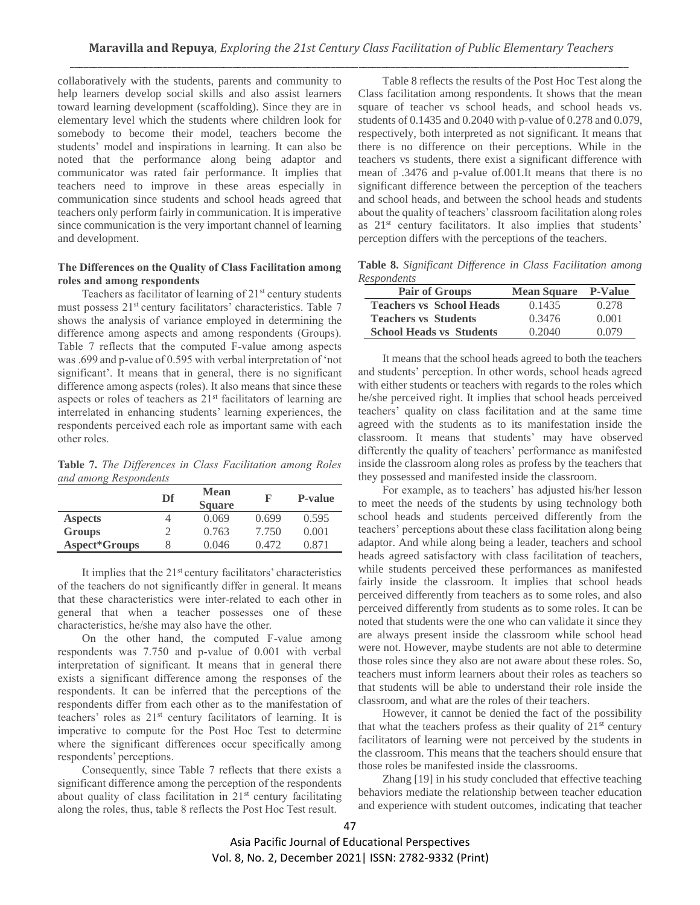collaboratively with the students, parents and community to help learners develop social skills and also assist learners toward learning development (scaffolding). Since they are in elementary level which the students where children look for somebody to become their model, teachers become the students' model and inspirations in learning. It can also be noted that the performance along being adaptor and communicator was rated fair performance. It implies that teachers need to improve in these areas especially in communication since students and school heads agreed that teachers only perform fairly in communication. It is imperative since communication is the very important channel of learning and development.

## **The Differences on the Quality of Class Facilitation among roles and among respondents**

Teachers as facilitator of learning of  $21<sup>st</sup>$  century students must possess 21<sup>st</sup> century facilitators' characteristics. Table 7 shows the analysis of variance employed in determining the difference among aspects and among respondents (Groups). Table 7 reflects that the computed F-value among aspects was .699 and p-value of 0.595 with verbal interpretation of 'not significant'. It means that in general, there is no significant difference among aspects (roles). It also means that since these aspects or roles of teachers as 21<sup>st</sup> facilitators of learning are interrelated in enhancing students' learning experiences, the respondents perceived each role as important same with each other roles.

**Table 7.** *The Differences in Class Facilitation among Roles and among Respondents*

|                | Df | <b>Mean</b><br><b>Square</b> | F     | <b>P-value</b> |
|----------------|----|------------------------------|-------|----------------|
| <b>Aspects</b> |    | 0.069                        | 0.699 | 0.595          |
| <b>Groups</b>  |    | 0.763                        | 7.750 | 0.001          |
| Aspect*Groups  |    | 0.046                        | 0.472 | 0.871          |

It implies that the 21<sup>st</sup> century facilitators' characteristics of the teachers do not significantly differ in general. It means that these characteristics were inter-related to each other in general that when a teacher possesses one of these characteristics, he/she may also have the other.

On the other hand, the computed F-value among respondents was 7.750 and p-value of 0.001 with verbal interpretation of significant. It means that in general there exists a significant difference among the responses of the respondents. It can be inferred that the perceptions of the respondents differ from each other as to the manifestation of teachers' roles as 21<sup>st</sup> century facilitators of learning. It is imperative to compute for the Post Hoc Test to determine where the significant differences occur specifically among respondents' perceptions.

Consequently, since Table 7 reflects that there exists a significant difference among the perception of the respondents about quality of class facilitation in 21<sup>st</sup> century facilitating along the roles, thus, table 8 reflects the Post Hoc Test result.

Table 8 reflects the results of the Post Hoc Test along the Class facilitation among respondents. It shows that the mean square of teacher vs school heads, and school heads vs. students of 0.1435 and 0.2040 with p-value of 0.278 and 0.079, respectively, both interpreted as not significant. It means that there is no difference on their perceptions. While in the teachers vs students, there exist a significant difference with mean of .3476 and p-value of.001.It means that there is no significant difference between the perception of the teachers and school heads, and between the school heads and students about the quality of teachers' classroom facilitation along roles as 21<sup>st</sup> century facilitators. It also implies that students' perception differs with the perceptions of the teachers.

**Table 8.** *Significant Difference in Class Facilitation among Respondents*

| <b>Pair of Groups</b>           | <b>Mean Square</b> | P-Value |
|---------------------------------|--------------------|---------|
| <b>Teachers vs School Heads</b> | 0.1435             | 0.278   |
| <b>Teachers vs Students</b>     | 0.3476             | 0.001   |
| <b>School Heads vs Students</b> | 0.2040             | 0.079   |

It means that the school heads agreed to both the teachers and students' perception. In other words, school heads agreed with either students or teachers with regards to the roles which he/she perceived right. It implies that school heads perceived teachers' quality on class facilitation and at the same time agreed with the students as to its manifestation inside the classroom. It means that students' may have observed differently the quality of teachers' performance as manifested inside the classroom along roles as profess by the teachers that they possessed and manifested inside the classroom.

For example, as to teachers' has adjusted his/her lesson to meet the needs of the students by using technology both school heads and students perceived differently from the teachers' perceptions about these class facilitation along being adaptor. And while along being a leader, teachers and school heads agreed satisfactory with class facilitation of teachers, while students perceived these performances as manifested fairly inside the classroom. It implies that school heads perceived differently from teachers as to some roles, and also perceived differently from students as to some roles. It can be noted that students were the one who can validate it since they are always present inside the classroom while school head were not. However, maybe students are not able to determine those roles since they also are not aware about these roles. So, teachers must inform learners about their roles as teachers so that students will be able to understand their role inside the classroom, and what are the roles of their teachers.

However, it cannot be denied the fact of the possibility that what the teachers profess as their quality of  $21<sup>st</sup>$  century facilitators of learning were not perceived by the students in the classroom. This means that the teachers should ensure that those roles be manifested inside the classrooms.

Zhang [19] in his study concluded that effective teaching behaviors mediate the relationship between teacher education and experience with student outcomes, indicating that teacher

47